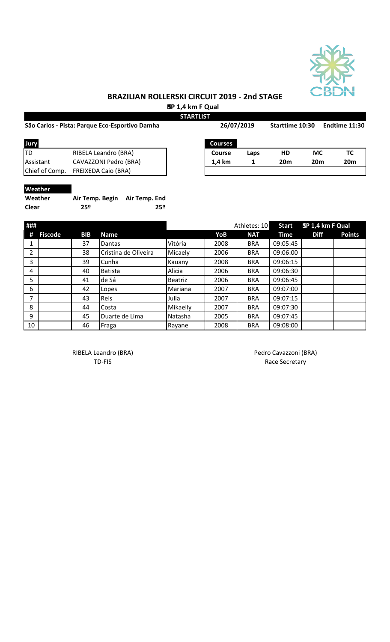

 **SP 1,4 km F Qual STARTLIST**

|                | São Carlos - Pista: Parque Eco-Esportivo Damha |  |                | 26/07/2019 |                 | Starttime 10:30 | Endtime 11:30   |  |
|----------------|------------------------------------------------|--|----------------|------------|-----------------|-----------------|-----------------|--|
| Jury           |                                                |  | <b>Courses</b> |            |                 |                 |                 |  |
| ltd            | RIBELA Leandro (BRA)                           |  | <b>Course</b>  | Laps       | HD              | <b>MC</b>       | TC.             |  |
| Assistant      | CAVAZZONI Pedro (BRA)                          |  | 1.4 km         |            | 20 <sub>m</sub> | <b>20m</b>      | 20 <sub>m</sub> |  |
| Chief of Comp. | <b>FREIXEDA Caio (BRA)</b>                     |  |                |            |                 |                 |                 |  |

#### **Weather**

| Weather | Air Temp. Begin Air Temp. End |     |
|---------|-------------------------------|-----|
| Clear   | 25º                           | 25º |

| ### |                |            |                      |                |      | Athletes: 10 | <b>Start</b> | SP 1,4 km F Qual |               |
|-----|----------------|------------|----------------------|----------------|------|--------------|--------------|------------------|---------------|
| #   | <b>Fiscode</b> | <b>BIB</b> | <b>Name</b>          |                | YoB  | <b>NAT</b>   | <b>Time</b>  | <b>Diff</b>      | <b>Points</b> |
| 1   |                | 37         | Dantas               | Vitória        | 2008 | <b>BRA</b>   | 09:05:45     |                  |               |
| 2   |                | 38         | Cristina de Oliveira | Micaely        | 2006 | <b>BRA</b>   | 09:06:00     |                  |               |
| 3   |                | 39         | Cunha                | Kauany         | 2008 | <b>BRA</b>   | 09:06:15     |                  |               |
| 4   |                | 40         | <b>Batista</b>       | Alicia         | 2006 | <b>BRA</b>   | 09:06:30     |                  |               |
| 5   |                | 41         | de Sá                | <b>Beatriz</b> | 2006 | <b>BRA</b>   | 09:06:45     |                  |               |
| 6   |                | 42         | Lopes                | Mariana        | 2007 | <b>BRA</b>   | 09:07:00     |                  |               |
| 7   |                | 43         | Reis                 | Julia          | 2007 | <b>BRA</b>   | 09:07:15     |                  |               |
| 8   |                | 44         | Costa                | Mikaelly       | 2007 | <b>BRA</b>   | 09:07:30     |                  |               |
| 9   |                | 45         | Duarte de Lima       | Natasha        | 2005 | <b>BRA</b>   | 09:07:45     |                  |               |
| 10  |                | 46         | Fraga                | Rayane         | 2008 | <b>BRA</b>   | 09:08:00     |                  |               |

RIBELA Leandro (BRA) and a control of the Pedro Cavazzoni (BRA)

TD-FIS Race Secretary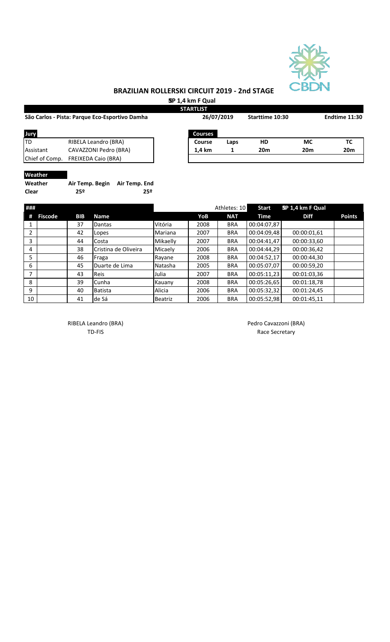

 **SP 1,4 km F Qual**

|                                                |            |                                  |                | <b>STARTLIST</b> |                 |                 |                  |               |
|------------------------------------------------|------------|----------------------------------|----------------|------------------|-----------------|-----------------|------------------|---------------|
| São Carlos - Pista: Parque Eco-Esportivo Damha |            | 26/07/2019                       |                |                  | Starttime 10:30 |                 | Endtime 11:30    |               |
| Jury                                           |            |                                  |                | <b>Courses</b>   |                 |                 |                  |               |
| <b>TD</b>                                      |            | RIBELA Leandro (BRA)             |                | Course           | Laps            | HD              | <b>MC</b>        | TC            |
| Assistant                                      |            | CAVAZZONI Pedro (BRA)            |                | 1,4 km           | 1               | 20 <sub>m</sub> | 20 <sub>m</sub>  | 20m           |
| Chief of Comp.                                 |            | <b>FREIXEDA Caio (BRA)</b>       |                |                  |                 |                 |                  |               |
| Weather                                        |            |                                  |                |                  |                 |                 |                  |               |
| Weather                                        |            | Air Temp. Begin<br>Air Temp. End |                |                  |                 |                 |                  |               |
| Clear                                          | 25º        | 25 <sup>°</sup>                  |                |                  |                 |                 |                  |               |
| ###                                            |            |                                  |                |                  | Athletes: 10    | <b>Start</b>    | SP 1,4 km F Qual |               |
| <b>Fiscode</b><br>#                            | <b>BIB</b> | <b>Name</b>                      |                | YoB              | <b>NAT</b>      | Time            | <b>Diff</b>      | <b>Points</b> |
| 1                                              | 37         | Dantas                           | Vitória        | 2008             | <b>BRA</b>      | 00:04:07,87     |                  |               |
| $\overline{2}$                                 | 42         | Lopes                            | Mariana        | 2007             | <b>BRA</b>      | 00:04:09,48     | 00:00:01,61      |               |
| 3                                              | 44         | Costa                            | Mikaelly       | 2007             | <b>BRA</b>      | 00:04:41,47     | 00:00:33,60      |               |
| 4                                              | 38         | Cristina de Oliveira             | Micaely        | 2006             | <b>BRA</b>      | 00:04:44,29     | 00:00:36,42      |               |
| 5                                              | 46         | Fraga                            | Rayane         | 2008             | <b>BRA</b>      | 00:04:52,17     | 00:00:44,30      |               |
| 6                                              | 45         | Duarte de Lima                   | Natasha        | 2005             | <b>BRA</b>      | 00:05:07,07     | 00:00:59,20      |               |
| $\overline{7}$                                 | 43         | Reis                             | Julia          | 2007             | <b>BRA</b>      | 00:05:11,23     | 00:01:03,36      |               |
| 8                                              | 39         | Cunha                            | Kauany         | 2008             | <b>BRA</b>      | 00:05:26,65     | 00:01:18,78      |               |
| 9                                              | 40         | <b>Batista</b>                   | Alicia         | 2006             | <b>BRA</b>      | 00:05:32,32     | 00:01:24,45      |               |
| 10                                             | 41         | de Sá                            | <b>Beatriz</b> | 2006             | <b>BRA</b>      | 00:05:52,98     | 00:01:45,11      |               |

RIBELA Leandro (BRA) and a control of the Pedro Cavazzoni (BRA)

TD-FIS Race Secretary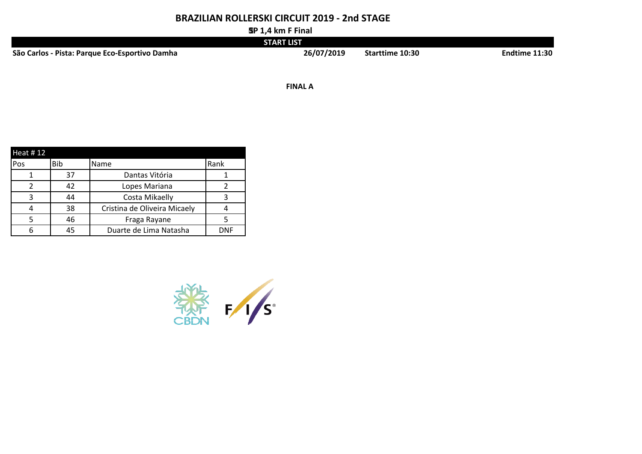**SP 1,4 km F Final**

|                                                | <b>START LIST</b> |                 |                      |
|------------------------------------------------|-------------------|-----------------|----------------------|
| São Carlos - Pista: Parque Eco-Esportivo Damha | 26/07/2019        | Starttime 10:30 | <b>Endtime 11:30</b> |

**1/2 FINALS FINAL A**

| Heat $#12$ |     |                              |            |
|------------|-----|------------------------------|------------|
| Pos        | Bib | Name                         | Rank       |
|            | 37  | Dantas Vitória               |            |
| 2          | 42  | Lopes Mariana                |            |
| 3          | 44  | Costa Mikaelly               |            |
|            | 38  | Cristina de Oliveira Micaely |            |
|            | 46  | Fraga Rayane                 |            |
| 6          | 45  | Duarte de Lima Natasha       | <b>DNF</b> |